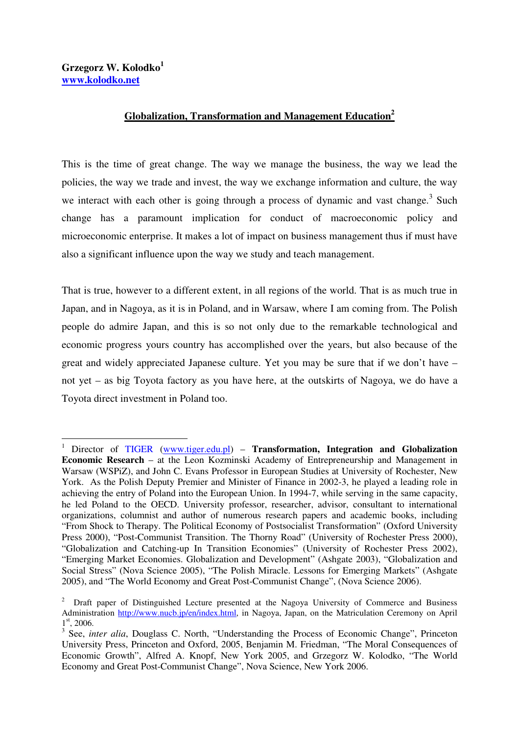$\overline{a}$ 

## **Globalization, Transformation and Management Education<sup>2</sup>**

This is the time of great change. The way we manage the business, the way we lead the policies, the way we trade and invest, the way we exchange information and culture, the way we interact with each other is going through a process of dynamic and vast change.<sup>3</sup> Such change has a paramount implication for conduct of macroeconomic policy and microeconomic enterprise. It makes a lot of impact on business management thus if must have also a significant influence upon the way we study and teach management.

That is true, however to a different extent, in all regions of the world. That is as much true in Japan, and in Nagoya, as it is in Poland, and in Warsaw, where I am coming from. The Polish people do admire Japan, and this is so not only due to the remarkable technological and economic progress yours country has accomplished over the years, but also because of the great and widely appreciated Japanese culture. Yet you may be sure that if we don't have – not yet – as big Toyota factory as you have here, at the outskirts of Nagoya, we do have a Toyota direct investment in Poland too.

<sup>&</sup>lt;sup>1</sup> Director of TIGER (www.tiger.edu.pl) – Transformation, Integration and Globalization **Economic Research** – at the Leon Kozminski Academy of Entrepreneurship and Management in Warsaw (WSPiZ), and John C. Evans Professor in European Studies at University of Rochester, New York. As the Polish Deputy Premier and Minister of Finance in 2002-3, he played a leading role in achieving the entry of Poland into the European Union. In 1994-7, while serving in the same capacity, he led Poland to the OECD. University professor, researcher, advisor, consultant to international organizations, columnist and author of numerous research papers and academic books, including "From Shock to Therapy. The Political Economy of Postsocialist Transformation" (Oxford University Press 2000), "Post-Communist Transition. The Thorny Road" (University of Rochester Press 2000), "Globalization and Catching-up In Transition Economies" (University of Rochester Press 2002), "Emerging Market Economies. Globalization and Development" (Ashgate 2003), "Globalization and Social Stress" (Nova Science 2005), "The Polish Miracle. Lessons for Emerging Markets" (Ashgate 2005), and "The World Economy and Great Post-Communist Change", (Nova Science 2006).

<sup>2</sup> Draft paper of Distinguished Lecture presented at the Nagoya University of Commerce and Business Administration http://www.nucb.jp/en/index.html, in Nagoya, Japan, on the Matriculation Ceremony on April <sup>1st</sup>, 2006.<br><sup>3</sup> See, *inter alia*, Douglass C. North, "Understanding the Process of Economic Change", Princeton

University Press, Princeton and Oxford, 2005, Benjamin M. Friedman, "The Moral Consequences of Economic Growth", Alfred A. Knopf, New York 2005, and Grzegorz W. Kolodko, "The World Economy and Great Post-Communist Change", Nova Science, New York 2006.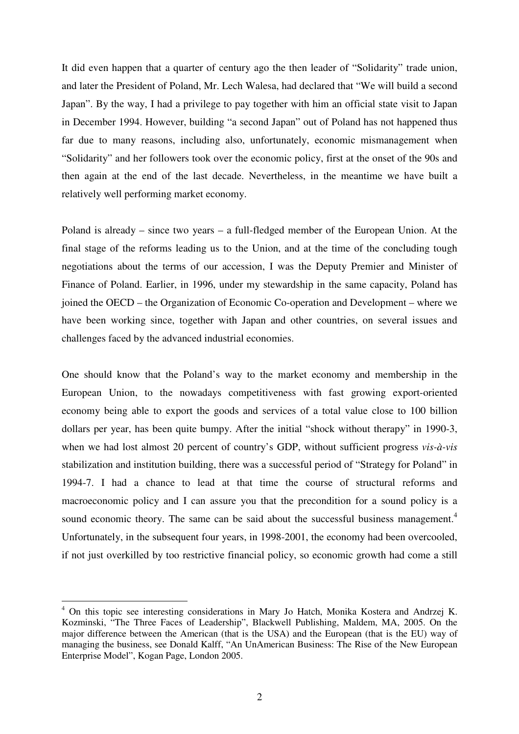It did even happen that a quarter of century ago the then leader of "Solidarity" trade union, and later the President of Poland, Mr. Lech Walesa, had declared that "We will build a second Japan". By the way, I had a privilege to pay together with him an official state visit to Japan in December 1994. However, building "a second Japan" out of Poland has not happened thus far due to many reasons, including also, unfortunately, economic mismanagement when "Solidarity" and her followers took over the economic policy, first at the onset of the 90s and then again at the end of the last decade. Nevertheless, in the meantime we have built a relatively well performing market economy.

Poland is already – since two years – a full-fledged member of the European Union. At the final stage of the reforms leading us to the Union, and at the time of the concluding tough negotiations about the terms of our accession, I was the Deputy Premier and Minister of Finance of Poland. Earlier, in 1996, under my stewardship in the same capacity, Poland has joined the OECD – the Organization of Economic Co-operation and Development – where we have been working since, together with Japan and other countries, on several issues and challenges faced by the advanced industrial economies.

One should know that the Poland's way to the market economy and membership in the European Union, to the nowadays competitiveness with fast growing export-oriented economy being able to export the goods and services of a total value close to 100 billion dollars per year, has been quite bumpy. After the initial "shock without therapy" in 1990-3, when we had lost almost 20 percent of country's GDP, without sufficient progress *vis-à-vis* stabilization and institution building, there was a successful period of "Strategy for Poland" in 1994-7. I had a chance to lead at that time the course of structural reforms and macroeconomic policy and I can assure you that the precondition for a sound policy is a sound economic theory. The same can be said about the successful business management.<sup>4</sup> Unfortunately, in the subsequent four years, in 1998-2001, the economy had been overcooled, if not just overkilled by too restrictive financial policy, so economic growth had come a still

<sup>&</sup>lt;sup>4</sup> On this topic see interesting considerations in Mary Jo Hatch, Monika Kostera and Andrzej K. Kozminski, "The Three Faces of Leadership", Blackwell Publishing, Maldem, MA, 2005. On the major difference between the American (that is the USA) and the European (that is the EU) way of managing the business, see Donald Kalff, "An UnAmerican Business: The Rise of the New European Enterprise Model", Kogan Page, London 2005.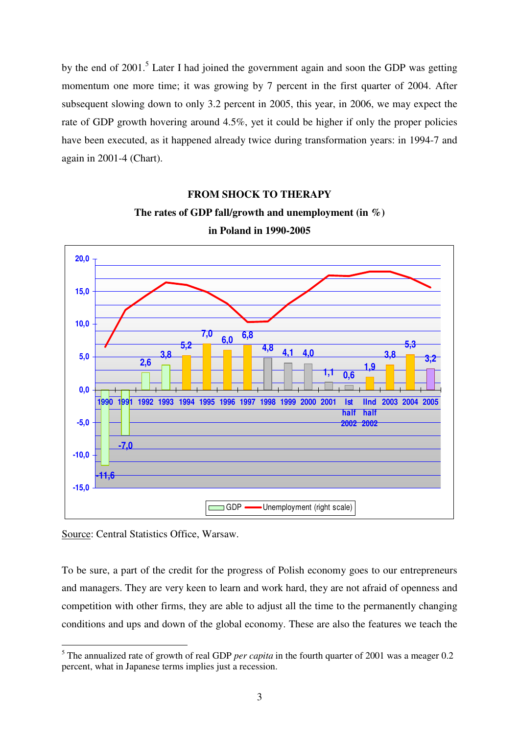by the end of 2001.<sup>5</sup> Later I had joined the government again and soon the GDP was getting momentum one more time; it was growing by 7 percent in the first quarter of 2004. After subsequent slowing down to only 3.2 percent in 2005, this year, in 2006, we may expect the rate of GDP growth hovering around 4.5%, yet it could be higher if only the proper policies have been executed, as it happened already twice during transformation years: in 1994-7 and again in 2001-4 (Chart).

## **FROM SHOCK TO THERAPY The rates of GDP fall/growth and unemployment (in %) in Poland in 1990-2005**



Source: Central Statistics Office, Warsaw.

To be sure, a part of the credit for the progress of Polish economy goes to our entrepreneurs and managers. They are very keen to learn and work hard, they are not afraid of openness and competition with other firms, they are able to adjust all the time to the permanently changing conditions and ups and down of the global economy. These are also the features we teach the

 $\overline{a}$ <sup>5</sup> The annualized rate of growth of real GDP *per capita* in the fourth quarter of 2001 was a meager 0.2 percent, what in Japanese terms implies just a recession.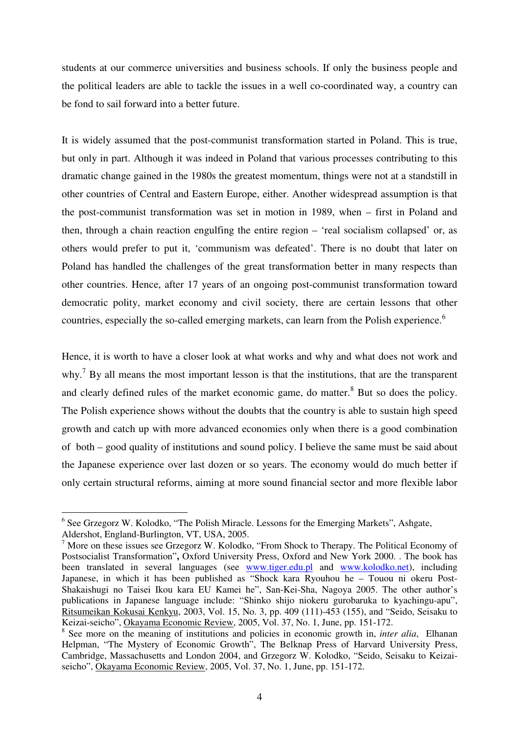students at our commerce universities and business schools. If only the business people and the political leaders are able to tackle the issues in a well co-coordinated way, a country can be fond to sail forward into a better future.

It is widely assumed that the post-communist transformation started in Poland. This is true, but only in part. Although it was indeed in Poland that various processes contributing to this dramatic change gained in the 1980s the greatest momentum, things were not at a standstill in other countries of Central and Eastern Europe, either. Another widespread assumption is that the post-communist transformation was set in motion in 1989, when – first in Poland and then, through a chain reaction engulfing the entire region – 'real socialism collapsed' or, as others would prefer to put it, 'communism was defeated'. There is no doubt that later on Poland has handled the challenges of the great transformation better in many respects than other countries. Hence, after 17 years of an ongoing post-communist transformation toward democratic polity, market economy and civil society, there are certain lessons that other countries, especially the so-called emerging markets, can learn from the Polish experience.<sup>6</sup>

Hence, it is worth to have a closer look at what works and why and what does not work and why.<sup>7</sup> By all means the most important lesson is that the institutions, that are the transparent and clearly defined rules of the market economic game, do matter.<sup>8</sup> But so does the policy. The Polish experience shows without the doubts that the country is able to sustain high speed growth and catch up with more advanced economies only when there is a good combination of both – good quality of institutions and sound policy. I believe the same must be said about the Japanese experience over last dozen or so years. The economy would do much better if only certain structural reforms, aiming at more sound financial sector and more flexible labor

<sup>&</sup>lt;sup>6</sup> See Grzegorz W. Kolodko, "The Polish Miracle. Lessons for the Emerging Markets", Ashgate,

Aldershot, England-Burlington, VT, USA, 2005.

 $<sup>7</sup>$  More on these issues see Grzegorz W. Kolodko, "From Shock to Therapy. The Political Economy of</sup> Postsocialist Transformation"**,** Oxford University Press, Oxford and New York 2000. . The book has been translated in several languages (see www.tiger.edu.pl and www.kolodko.net), including Japanese, in which it has been published as "Shock kara Ryouhou he – Touou ni okeru Post-Shakaishugi no Taisei Ikou kara EU Kamei he", San-Kei-Sha, Nagoya 2005. The other author's publications in Japanese language include: "Shinko shijo niokeru gurobaruka to kyachingu-apu", Ritsumeikan Kokusai Kenkyu, 2003, Vol. 15, No. 3, pp. 409 (111)-453 (155), and "Seido, Seisaku to Keizai-seicho", Okayama Economic Review, 2005, Vol. 37, No. 1, June, pp. 151-172.

<sup>&</sup>lt;sup>8</sup> See more on the meaning of institutions and policies in economic growth in, *inter alia*, Elhanan Helpman, "The Mystery of Economic Growth", The Belknap Press of Harvard University Press, Cambridge, Massachusetts and London 2004, and Grzegorz W. Kolodko, "Seido, Seisaku to Keizaiseicho", Okayama Economic Review, 2005, Vol. 37, No. 1, June, pp. 151-172.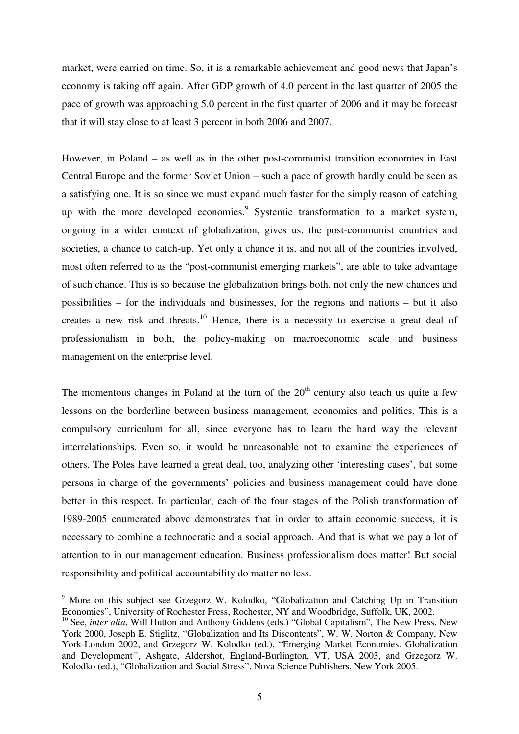market, were carried on time. So, it is a remarkable achievement and good news that Japan's economy is taking off again. After GDP growth of 4.0 percent in the last quarter of 2005 the pace of growth was approaching 5.0 percent in the first quarter of 2006 and it may be forecast that it will stay close to at least 3 percent in both 2006 and 2007.

However, in Poland – as well as in the other post-communist transition economies in East Central Europe and the former Soviet Union – such a pace of growth hardly could be seen as a satisfying one. It is so since we must expand much faster for the simply reason of catching up with the more developed economies.<sup>9</sup> Systemic transformation to a market system, ongoing in a wider context of globalization, gives us, the post-communist countries and societies, a chance to catch-up. Yet only a chance it is, and not all of the countries involved, most often referred to as the "post-communist emerging markets", are able to take advantage of such chance. This is so because the globalization brings both, not only the new chances and possibilities – for the individuals and businesses, for the regions and nations – but it also creates a new risk and threats.<sup>10</sup> Hence, there is a necessity to exercise a great deal of professionalism in both, the policy-making on macroeconomic scale and business management on the enterprise level.

The momentous changes in Poland at the turn of the  $20<sup>th</sup>$  century also teach us quite a few lessons on the borderline between business management, economics and politics. This is a compulsory curriculum for all, since everyone has to learn the hard way the relevant interrelationships. Even so, it would be unreasonable not to examine the experiences of others. The Poles have learned a great deal, too, analyzing other 'interesting cases', but some persons in charge of the governments' policies and business management could have done better in this respect. In particular, each of the four stages of the Polish transformation of 1989-2005 enumerated above demonstrates that in order to attain economic success, it is necessary to combine a technocratic and a social approach. And that is what we pay a lot of attention to in our management education. Business professionalism does matter! But social responsibility and political accountability do matter no less.

<sup>&</sup>lt;sup>9</sup> More on this subject see Grzegorz W. Kolodko, "Globalization and Catching Up in Transition Economies", University of Rochester Press, Rochester, NY and Woodbridge, Suffolk, UK, 2002.

<sup>&</sup>lt;sup>10</sup> See, *inter alia*, Will Hutton and Anthony Giddens (eds.) "Global Capitalism", The New Press, New York 2000, Joseph E. Stiglitz, "Globalization and Its Discontents", W. W. Norton & Company, New York-London 2002, and Grzegorz W. Kolodko (ed.), "Emerging Market Economies. Globalization and Development*"*, Ashgate, Aldershot, England-Burlington, VT, USA 2003, and Grzegorz W. Kolodko (ed.), "Globalization and Social Stress", Nova Science Publishers, New York 2005.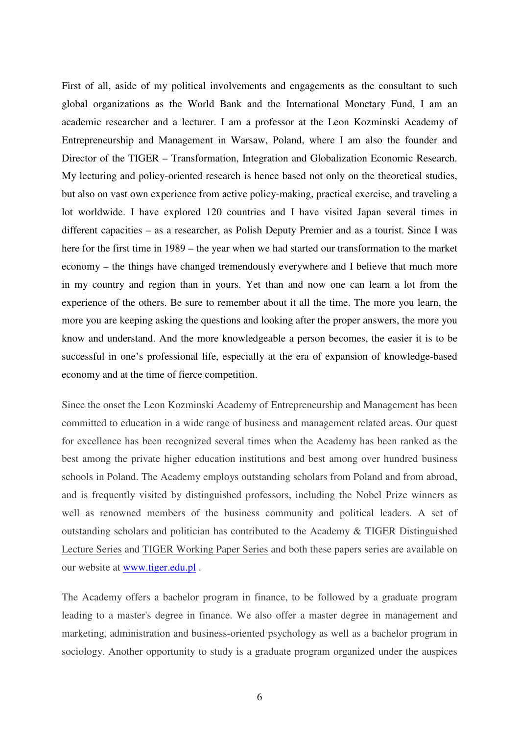First of all, aside of my political involvements and engagements as the consultant to such global organizations as the World Bank and the International Monetary Fund, I am an academic researcher and a lecturer. I am a professor at the Leon Kozminski Academy of Entrepreneurship and Management in Warsaw, Poland, where I am also the founder and Director of the TIGER – Transformation, Integration and Globalization Economic Research. My lecturing and policy-oriented research is hence based not only on the theoretical studies, but also on vast own experience from active policy-making, practical exercise, and traveling a lot worldwide. I have explored 120 countries and I have visited Japan several times in different capacities – as a researcher, as Polish Deputy Premier and as a tourist. Since I was here for the first time in 1989 – the year when we had started our transformation to the market economy – the things have changed tremendously everywhere and I believe that much more in my country and region than in yours. Yet than and now one can learn a lot from the experience of the others. Be sure to remember about it all the time. The more you learn, the more you are keeping asking the questions and looking after the proper answers, the more you know and understand. And the more knowledgeable a person becomes, the easier it is to be successful in one's professional life, especially at the era of expansion of knowledge-based economy and at the time of fierce competition.

Since the onset the Leon Kozminski Academy of Entrepreneurship and Management has been committed to education in a wide range of business and management related areas. Our quest for excellence has been recognized several times when the Academy has been ranked as the best among the private higher education institutions and best among over hundred business schools in Poland. The Academy employs outstanding scholars from Poland and from abroad, and is frequently visited by distinguished professors, including the Nobel Prize winners as well as renowned members of the business community and political leaders. A set of outstanding scholars and politician has contributed to the Academy & TIGER Distinguished Lecture Series and TIGER Working Paper Series and both these papers series are available on our website at www.tiger.edu.pl .

The Academy offers a bachelor program in finance, to be followed by a graduate program leading to a master's degree in finance. We also offer a master degree in management and marketing, administration and business-oriented psychology as well as a bachelor program in sociology. Another opportunity to study is a graduate program organized under the auspices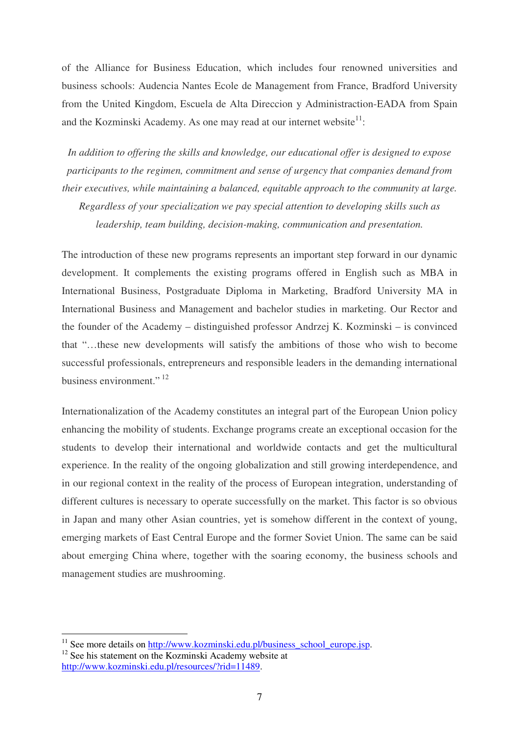of the Alliance for Business Education, which includes four renowned universities and business schools: Audencia Nantes Ecole de Management from France, Bradford University from the United Kingdom, Escuela de Alta Direccion y Administraction-EADA from Spain and the Kozminski Academy. As one may read at our internet website $1$ :

*In addition to offering the skills and knowledge, our educational offer is designed to expose participants to the regimen, commitment and sense of urgency that companies demand from their executives, while maintaining a balanced, equitable approach to the community at large. Regardless of your specialization we pay special attention to developing skills such as* 

*leadership, team building, decision-making, communication and presentation.* 

The introduction of these new programs represents an important step forward in our dynamic development. It complements the existing programs offered in English such as MBA in International Business, Postgraduate Diploma in Marketing, Bradford University MA in International Business and Management and bachelor studies in marketing. Our Rector and the founder of the Academy – distinguished professor Andrzej K. Kozminski – is convinced that "…these new developments will satisfy the ambitions of those who wish to become successful professionals, entrepreneurs and responsible leaders in the demanding international business environment."<sup>12</sup>

Internationalization of the Academy constitutes an integral part of the European Union policy enhancing the mobility of students. Exchange programs create an exceptional occasion for the students to develop their international and worldwide contacts and get the multicultural experience. In the reality of the ongoing globalization and still growing interdependence, and in our regional context in the reality of the process of European integration, understanding of different cultures is necessary to operate successfully on the market. This factor is so obvious in Japan and many other Asian countries, yet is somehow different in the context of young, emerging markets of East Central Europe and the former Soviet Union. The same can be said about emerging China where, together with the soaring economy, the business schools and management studies are mushrooming.

 $11$  See more details on  $\frac{http://www.kozminski.edu.pl/business_school_europe.jsp.$ 

<sup>&</sup>lt;sup>12</sup> See his statement on the Kozminski Academy website at http://www.kozminski.edu.pl/resources/?rid=11489.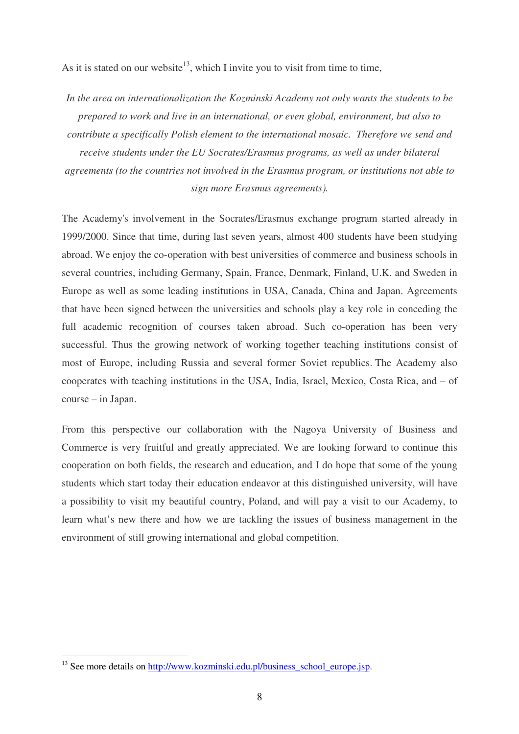As it is stated on our website<sup>13</sup>, which I invite you to visit from time to time,

*In the area on internationalization the Kozminski Academy not only wants the students to be prepared to work and live in an international, or even global, environment, but also to contribute a specifically Polish element to the international mosaic. Therefore we send and receive students under the EU Socrates/Erasmus programs, as well as under bilateral agreements (to the countries not involved in the Erasmus program, or institutions not able to sign more Erasmus agreements).* 

The Academy's involvement in the Socrates/Erasmus exchange program started already in 1999/2000. Since that time, during last seven years, almost 400 students have been studying abroad. We enjoy the co-operation with best universities of commerce and business schools in several countries, including Germany, Spain, France, Denmark, Finland, U.K. and Sweden in Europe as well as some leading institutions in USA, Canada, China and Japan. Agreements that have been signed between the universities and schools play a key role in conceding the full academic recognition of courses taken abroad. Such co-operation has been very successful. Thus the growing network of working together teaching institutions consist of most of Europe, including Russia and several former Soviet republics. The Academy also cooperates with teaching institutions in the USA, India, Israel, Mexico, Costa Rica, and – of course – in Japan.

From this perspective our collaboration with the Nagoya University of Business and Commerce is very fruitful and greatly appreciated. We are looking forward to continue this cooperation on both fields, the research and education, and I do hope that some of the young students which start today their education endeavor at this distinguished university, will have a possibility to visit my beautiful country, Poland, and will pay a visit to our Academy, to learn what's new there and how we are tackling the issues of business management in the environment of still growing international and global competition.

<sup>&</sup>lt;sup>13</sup> See more details on http://www.kozminski.edu.pl/business\_school\_europe.jsp.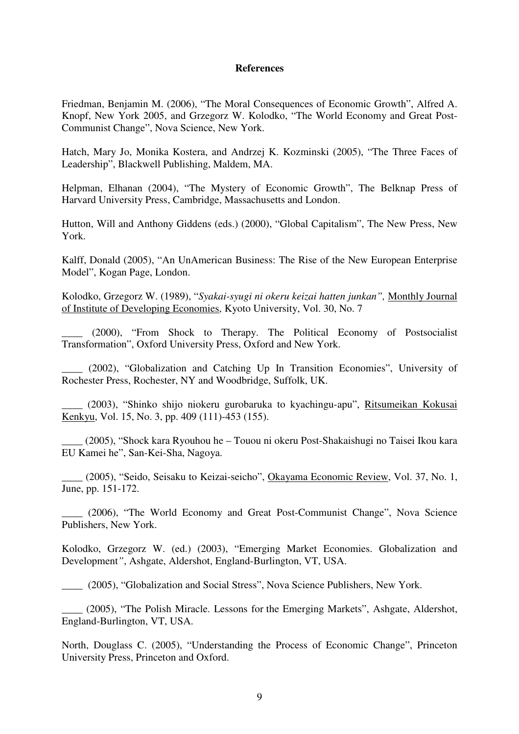## **References**

Friedman, Benjamin M. (2006), "The Moral Consequences of Economic Growth", Alfred A. Knopf, New York 2005, and Grzegorz W. Kolodko, "The World Economy and Great Post-Communist Change", Nova Science, New York.

Hatch, Mary Jo, Monika Kostera, and Andrzej K. Kozminski (2005), "The Three Faces of Leadership", Blackwell Publishing, Maldem, MA.

Helpman, Elhanan (2004), "The Mystery of Economic Growth", The Belknap Press of Harvard University Press, Cambridge, Massachusetts and London.

Hutton, Will and Anthony Giddens (eds.) (2000), "Global Capitalism", The New Press, New York.

Kalff, Donald (2005), "An UnAmerican Business: The Rise of the New European Enterprise Model", Kogan Page, London.

Kolodko, Grzegorz W. (1989), "*Syakai-syugi ni okeru keizai hatten junkan",* Monthly Journal of Institute of Developing Economies, Kyoto University, Vol. 30, No. 7

\_\_\_\_ (2000), "From Shock to Therapy. The Political Economy of Postsocialist Transformation", Oxford University Press, Oxford and New York.

\_\_\_\_ (2002), "Globalization and Catching Up In Transition Economies", University of Rochester Press, Rochester, NY and Woodbridge, Suffolk, UK.

\_\_\_\_ (2003), "Shinko shijo niokeru gurobaruka to kyachingu-apu", Ritsumeikan Kokusai Kenkyu, Vol. 15, No. 3, pp. 409 (111)-453 (155).

\_\_\_\_ (2005), "Shock kara Ryouhou he – Touou ni okeru Post-Shakaishugi no Taisei Ikou kara EU Kamei he", San-Kei-Sha, Nagoya.

\_\_\_\_ (2005), "Seido, Seisaku to Keizai-seicho", Okayama Economic Review, Vol. 37, No. 1, June, pp. 151-172.

(2006), "The World Economy and Great Post-Communist Change", Nova Science Publishers, New York.

Kolodko, Grzegorz W. (ed.) (2003), "Emerging Market Economies. Globalization and Development*"*, Ashgate, Aldershot, England-Burlington, VT, USA.

\_\_\_\_ (2005), "Globalization and Social Stress", Nova Science Publishers, New York.

\_\_\_\_ (2005), "The Polish Miracle. Lessons for the Emerging Markets", Ashgate, Aldershot, England-Burlington, VT, USA.

North, Douglass C. (2005), "Understanding the Process of Economic Change", Princeton University Press, Princeton and Oxford.